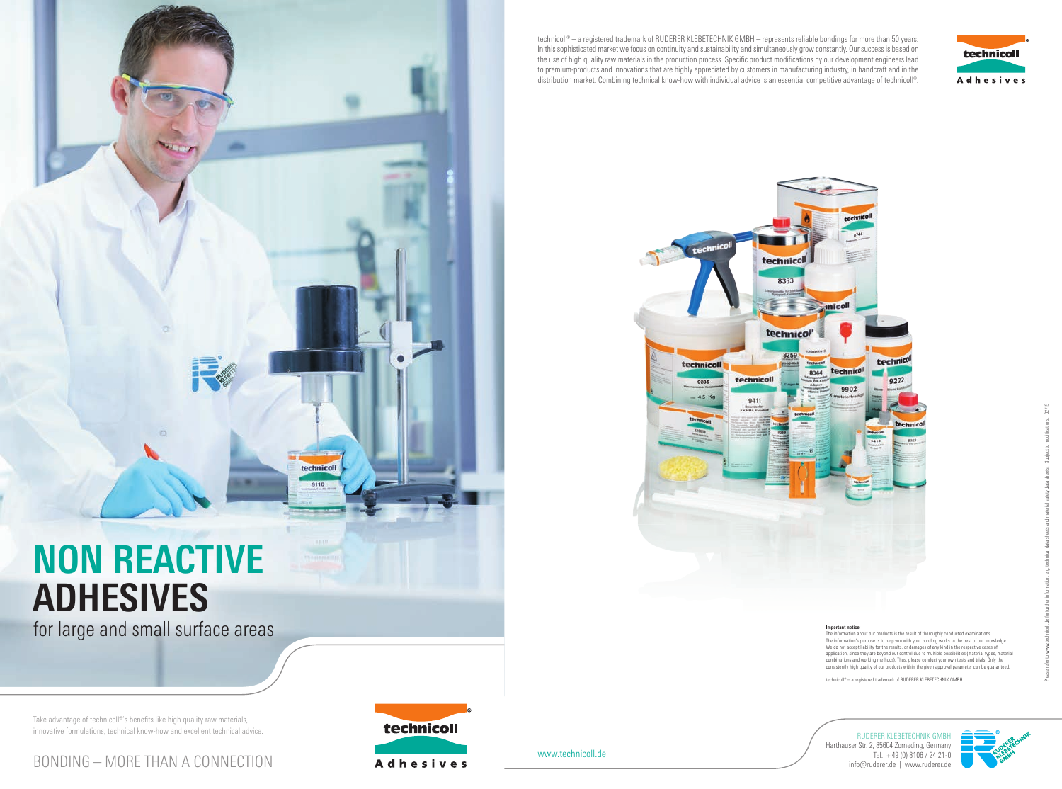# **NON REACTIVE ADHESIVES**

for large and small surface areas

www.technicoll.de

tech technicoll 8363  $\frac{1}{2}$  inicoll technicol' 8259 technicoll technical 8344 technicol technicoll 9285 4.5 Kg 9411





RUDERER KLEBETECHNIK GMBH Harthauser Str. 2, 85604 Zorneding, Germany







Take advantage of technicoll®'s benefits like high quality raw materials, innovative formulations, technical know-how and excellent technical advice. technicoll 9110

> **Important notice:** The information about our products is the result of thoroughly conducted examinations. The information's purpose is to help you with your bonding works to the best of our knowledge. We do not accept liability for the results, or damages of any kind in the respective cases of application, since they are beyond our control due to multiple possibilities (material types, material combinations and working methods). Thus, please conduct your own tests and trials. Only the consistently high quality of our products within the given approval parameter can be guaranteed.

technicoll® – a registered trademark of RUDERER KLEBETECHNIK GMBH

technicoll® – a registered trademark of RUDERER KLEBETECHNIK GMBH – represents reliable bondings for more than 50 years. In this sophisticated market we focus on continuity and sustainability and simultaneously grow constantly. Our success is based on the use of high quality raw materials in the production process. Specific product modifications by our development engineers lead to premium-products and innovations that are highly appreciated by customers in manufacturing industry, in handcraft and in the distribution market. Combining technical know-how with individual advice is an essential competitive advantage of technicoll®.